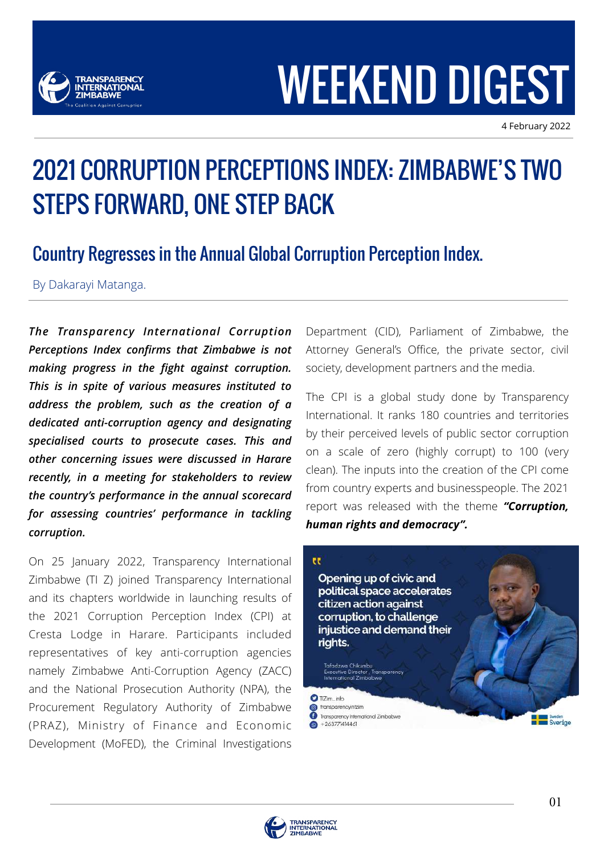

# WEEKEND DIGEST

4 February 2022

# 2021 CORRUPTION PERCEPTIONS INDEX: ZIMBABWE'S TWO STEPS FORWARD, ONE STEP BACK

# Country Regresses in the Annual Global Corruption Perception Index.

By Dakarayi Matanga.

*The Transparency International Corruption Perceptions Index confirms that Zimbabwe is not making progress in the fight against corruption. This is in spite of various measures instituted to address the problem, such as the creation of a dedicated anti-corruption agency and designating specialised courts to prosecute cases. This and other concerning issues were discussed in Harare recently, in a meeting for stakeholders to review the country's performance in the annual scorecard for assessing countries' performance in tackling corruption.*

On 25 January 2022, Transparency International Zimbabwe (TI Z) joined Transparency International and its chapters worldwide in launching results of the 2021 Corruption Perception Index (CPI) at Cresta Lodge in Harare. Participants included representatives of key anti-corruption agencies namely Zimbabwe Anti-Corruption Agency (ZACC) and the National Prosecution Authority (NPA), the Procurement Regulatory Authority of Zimbabwe (PRAZ), Ministry of Finance and Economic Development (MoFED), the Criminal Investigations

Department (CID), Parliament of Zimbabwe, the Attorney General's Office, the private sector, civil society, development partners and the media.

The CPI is a global study done by Transparency International. It ranks 180 countries and territories by their perceived levels of public sector corruption on a scale of zero (highly corrupt) to 100 (very clean). The inputs into the creation of the CPI come from country experts and businesspeople. The 2021 report was released with the theme *"Corruption, human rights and democracy".*



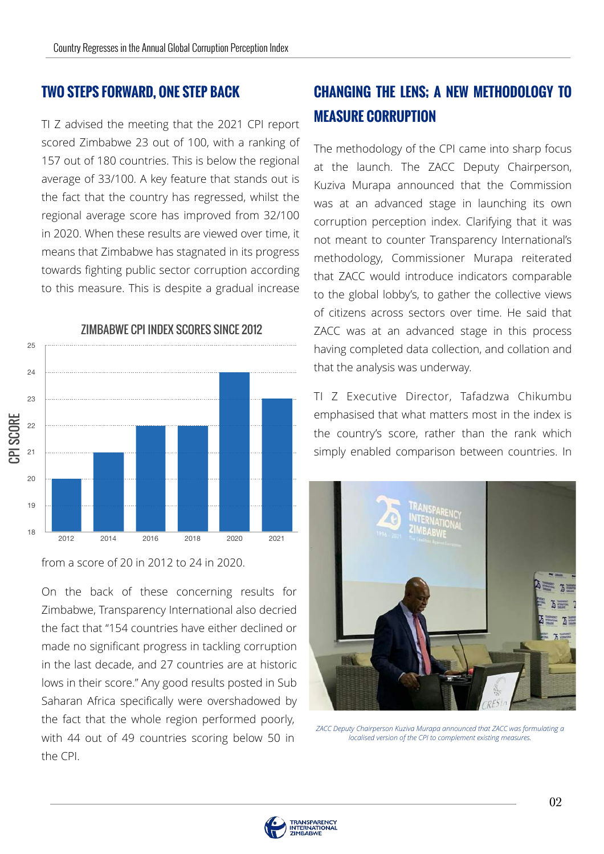#### **TWO STEPS FORWARD, ONE STEP BACK**

TI Z advised the meeting that the 2021 CPI report scored Zimbabwe 23 out of 100, with a ranking of 157 out of 180 countries. This is below the regional average of 33/100. A key feature that stands out is the fact that the country has regressed, whilst the regional average score has improved from 32/100 in 2020. When these results are viewed over time, it means that Zimbabwe has stagnated in its progress towards fighting public sector corruption according to this measure. This is despite a gradual increase



from a score of 20 in 2012 to 24 in 2020.

On the back of these concerning results for Zimbabwe, Transparency International also decried the fact that "154 countries have either declined or made no significant progress in tackling corruption in the last decade, and 27 countries are at historic lows in their score." Any good results posted in Sub Saharan Africa specifically were overshadowed by the fact that the whole region performed poorly, with 44 out of 49 countries scoring below 50 in the CPI.

# **CHANGING THE LENS; A NEW METHODOLOGY TO MEASURE CORRUPTION**

The methodology of the CPI came into sharp focus at the launch. The ZACC Deputy Chairperson, Kuziva Murapa announced that the Commission was at an advanced stage in launching its own corruption perception index. Clarifying that it was not meant to counter Transparency International's methodology, Commissioner Murapa reiterated that ZACC would introduce indicators comparable to the global lobby's, to gather the collective views of citizens across sectors over time. He said that ZACC was at an advanced stage in this process having completed data collection, and collation and that the analysis was underway.

TI Z Executive Director, Tafadzwa Chikumbu emphasised that what matters most in the index is the country's score, rather than the rank which simply enabled comparison between countries. In



*ZACC Deputy Chairperson Kuziva Murapa announced that ZACC was formulating a localised version of the CPI to complement existing measures.*

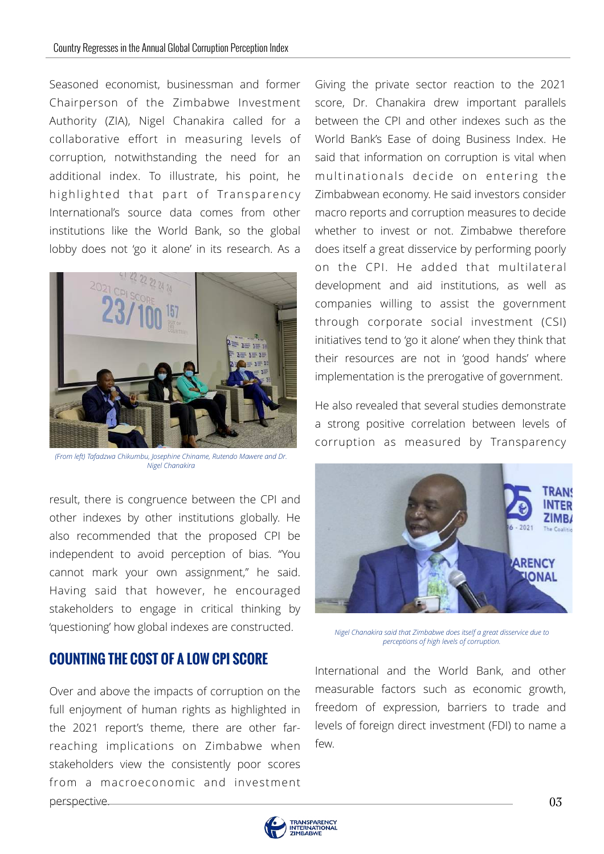Seasoned economist, businessman and former Chairperson of the Zimbabwe Investment Authority (ZIA), Nigel Chanakira called for a collaborative effort in measuring levels of corruption, notwithstanding the need for an additional index. To illustrate, his point, he highlighted that part of Transparency International's source data comes from other institutions like the World Bank, so the global lobby does not 'go it alone' in its research. As a



*(From left) Tafadzwa Chikumbu, Josephine Chiname, Rutendo Mawere and Dr. Nigel Chanakira*

result, there is congruence between the CPI and other indexes by other institutions globally. He also recommended that the proposed CPI be independent to avoid perception of bias. "You cannot mark your own assignment," he said. Having said that however, he encouraged stakeholders to engage in critical thinking by 'questioning' how global indexes are constructed.

#### **COUNTING THE COST OF A LOW CPI SCORE**

Over and above the impacts of corruption on the full enjoyment of human rights as highlighted in the 2021 report's theme, there are other farreaching implications on Zimbabwe when stakeholders view the consistently poor scores from a macroeconomic and investment perspective.

Giving the private sector reaction to the 2021 score, Dr. Chanakira drew important parallels between the CPI and other indexes such as the World Bank's Ease of doing Business Index. He said that information on corruption is vital when multinationals decide on entering the Zimbabwean economy. He said investors consider macro reports and corruption measures to decide whether to invest or not. Zimbabwe therefore does itself a great disservice by performing poorly on the CPI. He added that multilateral development and aid institutions, as well as companies willing to assist the government through corporate social investment (CSI) initiatives tend to 'go it alone' when they think that their resources are not in 'good hands' where implementation is the prerogative of government.

He also revealed that several studies demonstrate a strong positive correlation between levels of corruption as measured by Transparency



*Nigel Chanakira said that Zimbabwe does itself a great disservice due to perceptions of high levels of corruption.*

B freedom of expression, barriers to trade and levels of foreign direct investment (FDI) to name a International and the World Bank, and other measurable factors such as economic growth, few.

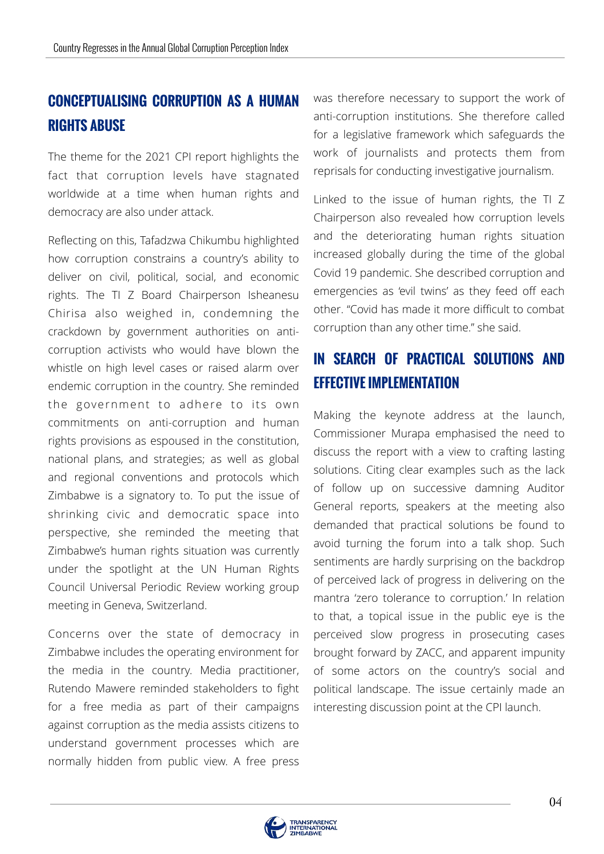# **CONCEPTUALISING CORRUPTION AS A HUMAN RIGHTS ABUSE**

The theme for the 2021 CPI report highlights the fact that corruption levels have stagnated worldwide at a time when human rights and democracy are also under attack.

Reflecting on this, Tafadzwa Chikumbu highlighted how corruption constrains a country's ability to deliver on civil, political, social, and economic rights. The TI Z Board Chairperson Isheanesu Chirisa also weighed in, condemning the crackdown by government authorities on anticorruption activists who would have blown the whistle on high level cases or raised alarm over endemic corruption in the country. She reminded the government to adhere to its own commitments on anti-corruption and human rights provisions as espoused in the constitution, national plans, and strategies; as well as global and regional conventions and protocols which Zimbabwe is a signatory to. To put the issue of shrinking civic and democratic space into perspective, she reminded the meeting that Zimbabwe's human rights situation was currently under the spotlight at the UN Human Rights Council Universal Periodic Review working group meeting in Geneva, Switzerland.

Concerns over the state of democracy in Zimbabwe includes the operating environment for the media in the country. Media practitioner, Rutendo Mawere reminded stakeholders to fight for a free media as part of their campaigns against corruption as the media assists citizens to understand government processes which are normally hidden from public view. A free press was therefore necessary to support the work of anti-corruption institutions. She therefore called for a legislative framework which safeguards the work of journalists and protects them from reprisals for conducting investigative journalism.

Linked to the issue of human rights, the TI Z Chairperson also revealed how corruption levels and the deteriorating human rights situation increased globally during the time of the global Covid 19 pandemic. She described corruption and emergencies as 'evil twins' as they feed off each other. "Covid has made it more difficult to combat corruption than any other time." she said.

## **IN SEARCH OF PRACTICAL SOLUTIONS AND EFFECTIVE IMPLEMENTATION**

B interesting discussion point at the CPI launch. perceived slow progress in prosecuting cases Making the keynote address at the launch, Commissioner Murapa emphasised the need to discuss the report with a view to crafting lasting solutions. Citing clear examples such as the lack of follow up on successive damning Auditor General reports, speakers at the meeting also demanded that practical solutions be found to avoid turning the forum into a talk shop. Such sentiments are hardly surprising on the backdrop of perceived lack of progress in delivering on the mantra 'zero tolerance to corruption.' In relation to that, a topical issue in the public eye is the brought forward by ZACC, and apparent impunity of some actors on the country's social and political landscape. The issue certainly made an

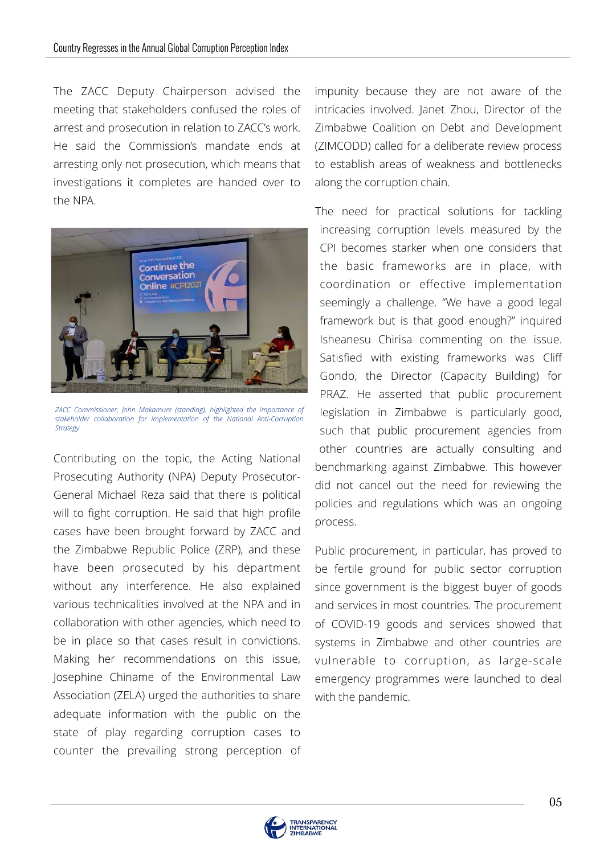The ZACC Deputy Chairperson advised the meeting that stakeholders confused the roles of arrest and prosecution in relation to ZACC's work. He said the Commission's mandate ends at arresting only not prosecution, which means that investigations it completes are handed over to the NPA.



*ZACC Commissioner, John Makamure (standing), highlighted the importance of stakeholder collaboration for implementation of the National Anti-Corruption Strategy*

Contributing on the topic, the Acting National Prosecuting Authority (NPA) Deputy Prosecutor-General Michael Reza said that there is political will to fight corruption. He said that high profile cases have been brought forward by ZACC and the Zimbabwe Republic Police (ZRP), and these have been prosecuted by his department without any interference. He also explained various technicalities involved at the NPA and in collaboration with other agencies, which need to be in place so that cases result in convictions. Making her recommendations on this issue, Josephine Chiname of the Environmental Law Association (ZELA) urged the authorities to share adequate information with the public on the state of play regarding corruption cases to counter the prevailing strong perception of impunity because they are not aware of the intricacies involved. Janet Zhou, Director of the Zimbabwe Coalition on Debt and Development (ZIMCODD) called for a deliberate review process to establish areas of weakness and bottlenecks along the corruption chain.

The need for practical solutions for tackling increasing corruption levels measured by the CPI becomes starker when one considers that the basic frameworks are in place, with coordination or effective implementation seemingly a challenge. "We have a good legal framework but is that good enough?" inquired Isheanesu Chirisa commenting on the issue. Satisfied with existing frameworks was Cliff Gondo, the Director (Capacity Building) for PRAZ. He asserted that public procurement legislation in Zimbabwe is particularly good, such that public procurement agencies from other countries are actually consulting and benchmarking against Zimbabwe. This however did not cancel out the need for reviewing the policies and regulations which was an ongoing process.

systems in Zimbabwe and other countries are Public procurement, in particular, has proved to be fertile ground for public sector corruption since government is the biggest buyer of goods and services in most countries. The procurement of COVID-19 goods and services showed that vulnerable to corruption, as large-scale emergency programmes were launched to deal with the pandemic.

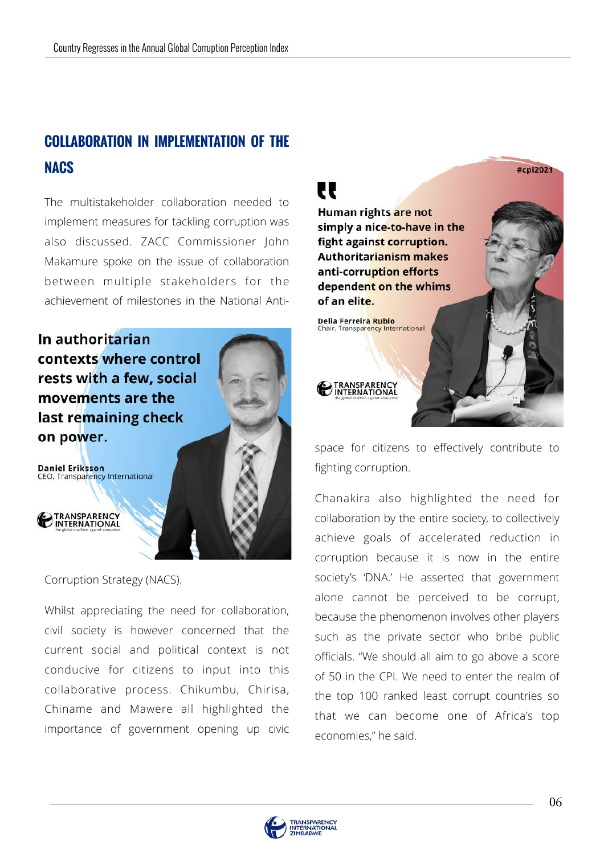# **COLLABORATION IN IMPLEMENTATION OF THE NACS**

The multistakeholder collaboration needed to implement measures for tackling corruption was also discussed. ZACC Commissioner John Makamure spoke on the issue of collaboration between multiple stakeholders for the achievement of milestones in the National Anti-

In authoritarian contexts where control rests with a few, social movements are the last remaining check on power.

**Daniel Eriksson** CEO, Transparency International

**TRANSPARENCY**<br>INTERNATIONAL

Corruption Strategy (NACS).

Whilst appreciating the need for collaboration, civil society is however concerned that the current social and political context is not conducive for citizens to input into this collaborative process. Chikumbu, Chirisa, Chiname and Mawere all highlighted the importance of government opening up civic



space for citizens to effectively contribute to fighting corruption.

B that we can become one of Africa's top Chanakira also highlighted the need for collaboration by the entire society, to collectively achieve goals of accelerated reduction in corruption because it is now in the entire society's 'DNA.' He asserted that government alone cannot be perceived to be corrupt, because the phenomenon involves other players such as the private sector who bribe public officials. "We should all aim to go above a score of 50 in the CPI. We need to enter the realm of the top 100 ranked least corrupt countries so economies," he said.